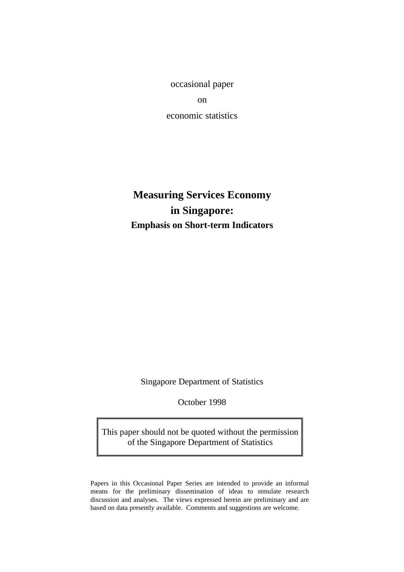occasional paper on economic statistics

**Measuring Services Economy in Singapore: Emphasis on Short-term Indicators**

Singapore Department of Statistics

October 1998

This paper should not be quoted without the permission of the Singapore Department of Statistics

Papers in this Occasional Paper Series are intended to provide an informal means for the preliminary dissemination of ideas to stmulate research discussion and analyses. The views expressed herein are preliminary and are based on data presently available. Comments and suggestions are welcome.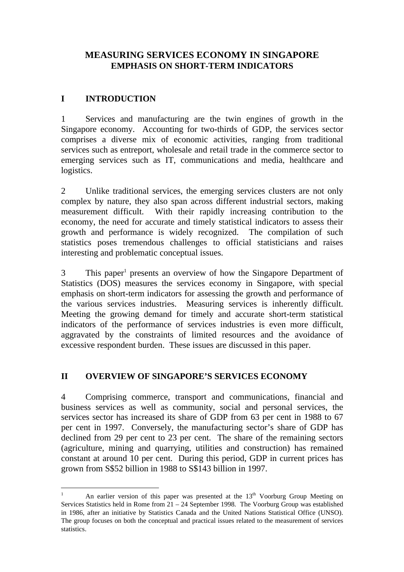# **MEASURING SERVICES ECONOMY IN SINGAPORE EMPHASIS ON SHORT-TERM INDICATORS**

# **I INTRODUCTION**

1 Services and manufacturing are the twin engines of growth in the Singapore economy. Accounting for two-thirds of GDP, the services sector comprises a diverse mix of economic activities, ranging from traditional services such as entreport, wholesale and retail trade in the commerce sector to emerging services such as IT, communications and media, healthcare and logistics.

2 Unlike traditional services, the emerging services clusters are not only complex by nature, they also span across different industrial sectors, making measurement difficult. With their rapidly increasing contribution to the economy, the need for accurate and timely statistical indicators to assess their growth and performance is widely recognized. The compilation of such statistics poses tremendous challenges to official statisticians and raises interesting and problematic conceptual issues.

3 This paper<sup>1</sup> presents an overview of how the Singapore Department of Statistics (DOS) measures the services economy in Singapore, with special emphasis on short-term indicators for assessing the growth and performance of the various services industries. Measuring services is inherently difficult. Meeting the growing demand for timely and accurate short-term statistical indicators of the performance of services industries is even more difficult, aggravated by the constraints of limited resources and the avoidance of excessive respondent burden. These issues are discussed in this paper.

# **II OVERVIEW OF SINGAPORE'S SERVICES ECONOMY**

4 Comprising commerce, transport and communications, financial and business services as well as community, social and personal services, the services sector has increased its share of GDP from 63 per cent in 1988 to 67 per cent in 1997. Conversely, the manufacturing sector's share of GDP has declined from 29 per cent to 23 per cent. The share of the remaining sectors (agriculture, mining and quarrying, utilities and construction) has remained constant at around 10 per cent. During this period, GDP in current prices has grown from S\$52 billion in 1988 to S\$143 billion in 1997.

 $\mathbf{1}$ An earlier version of this paper was presented at the  $13<sup>th</sup>$  Voorburg Group Meeting on Services Statistics held in Rome from 21 – 24 September 1998. The Voorburg Group was established in 1986, after an initiative by Statistics Canada and the United Nations Statistical Office (UNSO). The group focuses on both the conceptual and practical issues related to the measurement of services statistics.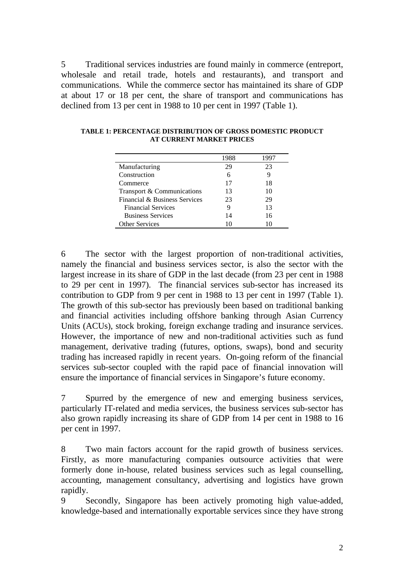5 Traditional services industries are found mainly in commerce (entreport, wholesale and retail trade, hotels and restaurants), and transport and communications. While the commerce sector has maintained its share of GDP at about 17 or 18 per cent, the share of transport and communications has declined from 13 per cent in 1988 to 10 per cent in 1997 (Table 1).

| 23 |
|----|
| 9  |
| 18 |
| 10 |
| 29 |
| 13 |
| 16 |
|    |
|    |

**TABLE 1: PERCENTAGE DISTRIBUTION OF GROSS DOMESTIC PRODUCT AT CURRENT MARKET PRICES**

6 The sector with the largest proportion of non-traditional activities, namely the financial and business services sector, is also the sector with the largest increase in its share of GDP in the last decade (from 23 per cent in 1988 to 29 per cent in 1997). The financial services sub-sector has increased its contribution to GDP from 9 per cent in 1988 to 13 per cent in 1997 (Table 1). The growth of this sub-sector has previously been based on traditional banking and financial activities including offshore banking through Asian Currency Units (ACUs), stock broking, foreign exchange trading and insurance services. However, the importance of new and non-traditional activities such as fund management, derivative trading (futures, options, swaps), bond and security trading has increased rapidly in recent years. On-going reform of the financial services sub-sector coupled with the rapid pace of financial innovation will ensure the importance of financial services in Singapore's future economy.

7 Spurred by the emergence of new and emerging business services, particularly IT-related and media services, the business services sub-sector has also grown rapidly increasing its share of GDP from 14 per cent in 1988 to 16 per cent in 1997.

8 Two main factors account for the rapid growth of business services. Firstly, as more manufacturing companies outsource activities that were formerly done in-house, related business services such as legal counselling, accounting, management consultancy, advertising and logistics have grown rapidly.

9 Secondly, Singapore has been actively promoting high value-added, knowledge-based and internationally exportable services since they have strong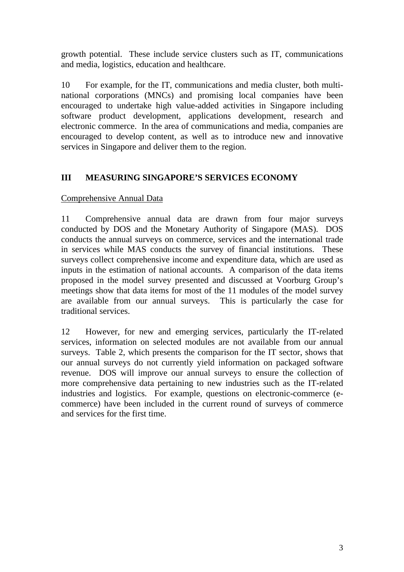growth potential. These include service clusters such as IT, communications and media, logistics, education and healthcare.

10 For example, for the IT, communications and media cluster, both multinational corporations (MNCs) and promising local companies have been encouraged to undertake high value-added activities in Singapore including software product development, applications development, research and electronic commerce. In the area of communications and media, companies are encouraged to develop content, as well as to introduce new and innovative services in Singapore and deliver them to the region.

# **III MEASURING SINGAPORE'S SERVICES ECONOMY**

## Comprehensive Annual Data

11 Comprehensive annual data are drawn from four major surveys conducted by DOS and the Monetary Authority of Singapore (MAS). DOS conducts the annual surveys on commerce, services and the international trade in services while MAS conducts the survey of financial institutions. These surveys collect comprehensive income and expenditure data, which are used as inputs in the estimation of national accounts. A comparison of the data items proposed in the model survey presented and discussed at Voorburg Group's meetings show that data items for most of the 11 modules of the model survey are available from our annual surveys. This is particularly the case for traditional services.

12 However, for new and emerging services, particularly the IT-related services, information on selected modules are not available from our annual surveys. Table 2, which presents the comparison for the IT sector, shows that our annual surveys do not currently yield information on packaged software revenue. DOS will improve our annual surveys to ensure the collection of more comprehensive data pertaining to new industries such as the IT-related industries and logistics. For example, questions on electronic-commerce (ecommerce) have been included in the current round of surveys of commerce and services for the first time.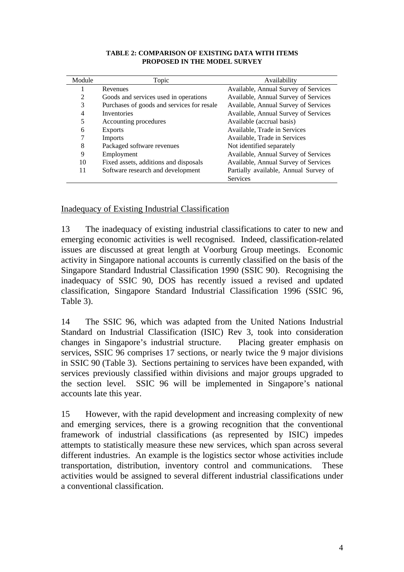| Module | Topic                                      | Availability                          |
|--------|--------------------------------------------|---------------------------------------|
|        | Revenues                                   | Available, Annual Survey of Services  |
| 2      | Goods and services used in operations      | Available, Annual Survey of Services  |
| 3      | Purchases of goods and services for resale | Available, Annual Survey of Services  |
| 4      | Inventories                                | Available, Annual Survey of Services  |
| 5      | Accounting procedures                      | Available (accrual basis)             |
| 6      | <b>Exports</b>                             | Available, Trade in Services          |
| 7      | <b>Imports</b>                             | Available, Trade in Services          |
| 8      | Packaged software revenues                 | Not identified separately             |
| 9      | Employment                                 | Available, Annual Survey of Services  |
| 10     | Fixed assets, additions and disposals      | Available, Annual Survey of Services  |
| 11     | Software research and development          | Partially available, Annual Survey of |
|        |                                            | <b>Services</b>                       |

**TABLE 2: COMPARISON OF EXISTING DATA WITH ITEMS PROPOSED IN THE MODEL SURVEY**

Inadequacy of Existing Industrial Classification

13 The inadequacy of existing industrial classifications to cater to new and emerging economic activities is well recognised. Indeed, classification-related issues are discussed at great length at Voorburg Group meetings. Economic activity in Singapore national accounts is currently classified on the basis of the Singapore Standard Industrial Classification 1990 (SSIC 90). Recognising the inadequacy of SSIC 90, DOS has recently issued a revised and updated classification, Singapore Standard Industrial Classification 1996 (SSIC 96, Table 3).

14 The SSIC 96, which was adapted from the United Nations Industrial Standard on Industrial Classification (ISIC) Rev 3, took into consideration changes in Singapore's industrial structure. Placing greater emphasis on services, SSIC 96 comprises 17 sections, or nearly twice the 9 major divisions in SSIC 90 (Table 3). Sections pertaining to services have been expanded, with services previously classified within divisions and major groups upgraded to the section level. SSIC 96 will be implemented in Singapore's national accounts late this year.

15 However, with the rapid development and increasing complexity of new and emerging services, there is a growing recognition that the conventional framework of industrial classifications (as represented by ISIC) impedes attempts to statistically measure these new services, which span across several different industries. An example is the logistics sector whose activities include transportation, distribution, inventory control and communications. These activities would be assigned to several different industrial classifications under a conventional classification.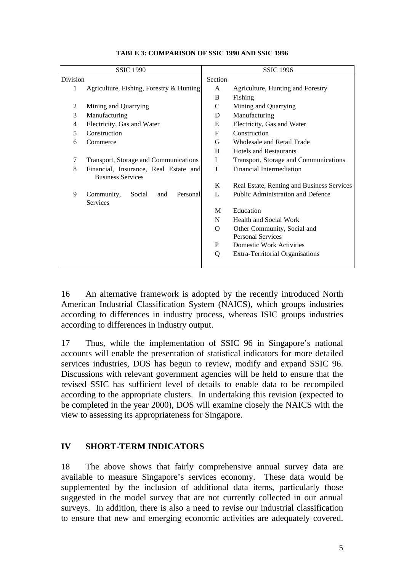| <b>SSIC 1990</b> |                                                                   |              | <b>SSIC 1996</b>                           |
|------------------|-------------------------------------------------------------------|--------------|--------------------------------------------|
| Division         |                                                                   | Section      |                                            |
| 1                | Agriculture, Fishing, Forestry & Hunting                          | A            | Agriculture, Hunting and Forestry          |
|                  |                                                                   | B            | Fishing                                    |
| 2                | Mining and Quarrying                                              | C            | Mining and Quarrying                       |
| 3                | Manufacturing                                                     | D            | Manufacturing                              |
| 4                | Electricity, Gas and Water                                        | E            | Electricity, Gas and Water                 |
| 5                | Construction                                                      | F            | Construction                               |
| 6                | Commerce                                                          | G            | <b>Wholesale and Retail Trade</b>          |
|                  |                                                                   | H            | <b>Hotels and Restaurants</b>              |
| 7                | Transport, Storage and Communications                             | L            | Transport, Storage and Communications      |
| 8                | Financial, Insurance, Real Estate and<br><b>Business Services</b> | J            | <b>Financial Intermediation</b>            |
|                  |                                                                   | K            | Real Estate, Renting and Business Services |
| 9                | Community,<br>Social<br>Personal<br>and<br>Services               | $\mathbf{L}$ | Public Administration and Defence          |
|                  |                                                                   | M            | Education                                  |
|                  |                                                                   | N            | Health and Social Work                     |
|                  |                                                                   | $\Omega$     | Other Community, Social and                |
|                  |                                                                   |              | <b>Personal Services</b>                   |
|                  |                                                                   | P            | <b>Domestic Work Activities</b>            |
|                  |                                                                   | Q            | Extra-Territorial Organisations            |
|                  |                                                                   |              |                                            |

#### **TABLE 3: COMPARISON OF SSIC 1990 AND SSIC 1996**

16 An alternative framework is adopted by the recently introduced North American Industrial Classification System (NAICS), which groups industries according to differences in industry process, whereas ISIC groups industries according to differences in industry output.

17 Thus, while the implementation of SSIC 96 in Singapore's national accounts will enable the presentation of statistical indicators for more detailed services industries, DOS has begun to review, modify and expand SSIC 96. Discussions with relevant government agencies will be held to ensure that the revised SSIC has sufficient level of details to enable data to be recompiled according to the appropriate clusters. In undertaking this revision (expected to be completed in the year 2000), DOS will examine closely the NAICS with the view to assessing its appropriateness for Singapore.

## **IV SHORT-TERM INDICATORS**

18 The above shows that fairly comprehensive annual survey data are available to measure Singapore's services economy. These data would be supplemented by the inclusion of additional data items, particularly those suggested in the model survey that are not currently collected in our annual surveys. In addition, there is also a need to revise our industrial classification to ensure that new and emerging economic activities are adequately covered.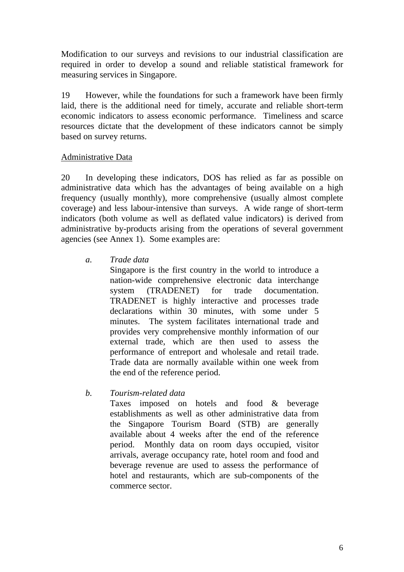Modification to our surveys and revisions to our industrial classification are required in order to develop a sound and reliable statistical framework for measuring services in Singapore.

19 However, while the foundations for such a framework have been firmly laid, there is the additional need for timely, accurate and reliable short-term economic indicators to assess economic performance. Timeliness and scarce resources dictate that the development of these indicators cannot be simply based on survey returns.

## Administrative Data

20 In developing these indicators, DOS has relied as far as possible on administrative data which has the advantages of being available on a high frequency (usually monthly), more comprehensive (usually almost complete coverage) and less labour-intensive than surveys. A wide range of short-term indicators (both volume as well as deflated value indicators) is derived from administrative by-products arising from the operations of several government agencies (see Annex 1). Some examples are:

*a. Trade data*

Singapore is the first country in the world to introduce a nation-wide comprehensive electronic data interchange system (TRADENET) for trade documentation. TRADENET is highly interactive and processes trade declarations within 30 minutes, with some under 5 minutes. The system facilitates international trade and provides very comprehensive monthly information of our external trade, which are then used to assess the performance of entreport and wholesale and retail trade. Trade data are normally available within one week from the end of the reference period.

*b. Tourism-related data*

Taxes imposed on hotels and food & beverage establishments as well as other administrative data from the Singapore Tourism Board (STB) are generally available about 4 weeks after the end of the reference period. Monthly data on room days occupied, visitor arrivals, average occupancy rate, hotel room and food and beverage revenue are used to assess the performance of hotel and restaurants, which are sub-components of the commerce sector.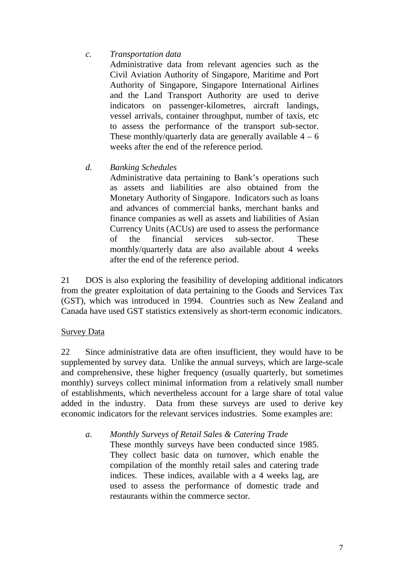*c. Transportation data*

Administrative data from relevant agencies such as the Civil Aviation Authority of Singapore, Maritime and Port Authority of Singapore, Singapore International Airlines and the Land Transport Authority are used to derive indicators on passenger-kilometres, aircraft landings, vessel arrivals, container throughput, number of taxis, etc to assess the performance of the transport sub-sector. These monthly/quarterly data are generally available  $4 - 6$ weeks after the end of the reference period.

*d. Banking Schedules*

Administrative data pertaining to Bank's operations such as assets and liabilities are also obtained from the Monetary Authority of Singapore. Indicators such as loans and advances of commercial banks, merchant banks and finance companies as well as assets and liabilities of Asian Currency Units (ACUs) are used to assess the performance of the financial services sub-sector. These monthly/quarterly data are also available about 4 weeks after the end of the reference period.

21 DOS is also exploring the feasibility of developing additional indicators from the greater exploitation of data pertaining to the Goods and Services Tax (GST), which was introduced in 1994. Countries such as New Zealand and Canada have used GST statistics extensively as short-term economic indicators.

# Survey Data

22 Since administrative data are often insufficient, they would have to be supplemented by survey data. Unlike the annual surveys, which are large-scale and comprehensive, these higher frequency (usually quarterly, but sometimes monthly) surveys collect minimal information from a relatively small number of establishments, which nevertheless account for a large share of total value added in the industry. Data from these surveys are used to derive key economic indicators for the relevant services industries. Some examples are:

*a. Monthly Surveys of Retail Sales & Catering Trade* These monthly surveys have been conducted since 1985. They collect basic data on turnover, which enable the compilation of the monthly retail sales and catering trade indices. These indices, available with a 4 weeks lag, are used to assess the performance of domestic trade and restaurants within the commerce sector.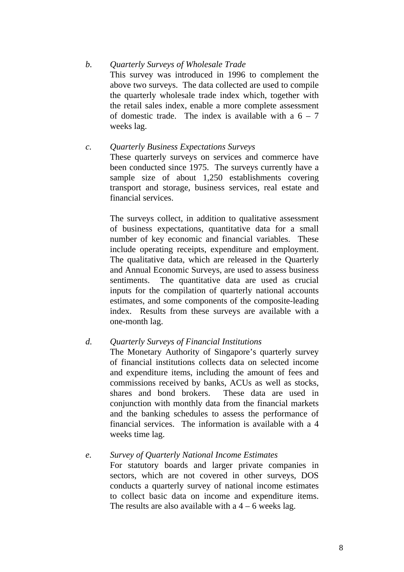### *b. Quarterly Surveys of Wholesale Trade*

This survey was introduced in 1996 to complement the above two surveys. The data collected are used to compile the quarterly wholesale trade index which, together with the retail sales index, enable a more complete assessment of domestic trade. The index is available with a  $6 - 7$ weeks lag.

# *c. Quarterly Business Expectations Surveys*

These quarterly surveys on services and commerce have been conducted since 1975. The surveys currently have a sample size of about 1,250 establishments covering transport and storage, business services, real estate and financial services.

The surveys collect, in addition to qualitative assessment of business expectations, quantitative data for a small number of key economic and financial variables. These include operating receipts, expenditure and employment. The qualitative data, which are released in the Quarterly and Annual Economic Surveys, are used to assess business sentiments. The quantitative data are used as crucial inputs for the compilation of quarterly national accounts estimates, and some components of the composite-leading index. Results from these surveys are available with a one-month lag.

### *d. Quarterly Surveys of Financial Institutions*

The Monetary Authority of Singapore's quarterly survey of financial institutions collects data on selected income and expenditure items, including the amount of fees and commissions received by banks, ACUs as well as stocks, shares and bond brokers. These data are used in conjunction with monthly data from the financial markets and the banking schedules to assess the performance of financial services. The information is available with a 4 weeks time lag.

### *e. Survey of Quarterly National Income Estimates*

For statutory boards and larger private companies in sectors, which are not covered in other surveys, DOS conducts a quarterly survey of national income estimates to collect basic data on income and expenditure items. The results are also available with a  $4 - 6$  weeks lag.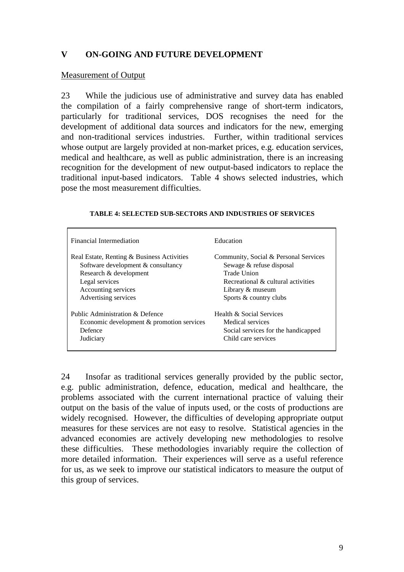## **V ON-GOING AND FUTURE DEVELOPMENT**

### Measurement of Output

23 While the judicious use of administrative and survey data has enabled the compilation of a fairly comprehensive range of short-term indicators, particularly for traditional services, DOS recognises the need for the development of additional data sources and indicators for the new, emerging and non-traditional services industries. Further, within traditional services whose output are largely provided at non-market prices, e.g. education services, medical and healthcare, as well as public administration, there is an increasing recognition for the development of new output-based indicators to replace the traditional input-based indicators. Table 4 shows selected industries, which pose the most measurement difficulties.

| Financial Intermediation                   | Education                             |
|--------------------------------------------|---------------------------------------|
| Real Estate, Renting & Business Activities | Community, Social & Personal Services |
| Software development & consultancy         | Sewage & refuse disposal              |
| Research & development                     | Trade Union                           |
| Legal services                             | Recreational & cultural activities    |
| Accounting services                        | Library & museum                      |
| Advertising services                       | Sports & country clubs                |
| Public Administration & Defence            | Health & Social Services              |
| Economic development & promotion services  | Medical services                      |
| Defence                                    | Social services for the handicapped   |
| Judiciary                                  | Child care services                   |

### **TABLE 4: SELECTED SUB-SECTORS AND INDUSTRIES OF SERVICES**

24 Insofar as traditional services generally provided by the public sector, e.g. public administration, defence, education, medical and healthcare, the problems associated with the current international practice of valuing their output on the basis of the value of inputs used, or the costs of productions are widely recognised. However, the difficulties of developing appropriate output measures for these services are not easy to resolve. Statistical agencies in the advanced economies are actively developing new methodologies to resolve these difficulties. These methodologies invariably require the collection of more detailed information. Their experiences will serve as a useful reference for us, as we seek to improve our statistical indicators to measure the output of this group of services.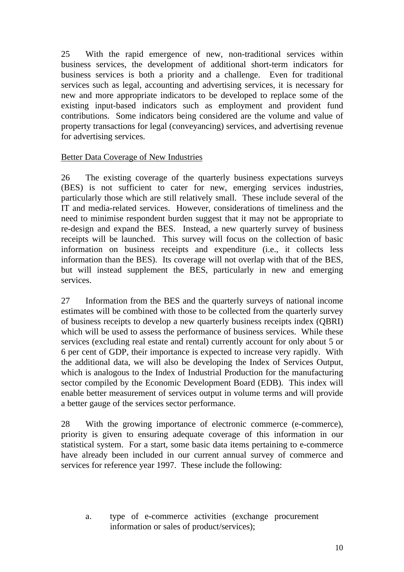25 With the rapid emergence of new, non-traditional services within business services, the development of additional short-term indicators for business services is both a priority and a challenge. Even for traditional services such as legal, accounting and advertising services, it is necessary for new and more appropriate indicators to be developed to replace some of the existing input-based indicators such as employment and provident fund contributions. Some indicators being considered are the volume and value of property transactions for legal (conveyancing) services, and advertising revenue for advertising services.

## Better Data Coverage of New Industries

26 The existing coverage of the quarterly business expectations surveys (BES) is not sufficient to cater for new, emerging services industries, particularly those which are still relatively small. These include several of the IT and media-related services. However, considerations of timeliness and the need to minimise respondent burden suggest that it may not be appropriate to re-design and expand the BES. Instead, a new quarterly survey of business receipts will be launched. This survey will focus on the collection of basic information on business receipts and expenditure (i.e., it collects less information than the BES). Its coverage will not overlap with that of the BES, but will instead supplement the BES, particularly in new and emerging services.

27 Information from the BES and the quarterly surveys of national income estimates will be combined with those to be collected from the quarterly survey of business receipts to develop a new quarterly business receipts index (QBRI) which will be used to assess the performance of business services. While these services (excluding real estate and rental) currently account for only about 5 or 6 per cent of GDP, their importance is expected to increase very rapidly. With the additional data, we will also be developing the Index of Services Output, which is analogous to the Index of Industrial Production for the manufacturing sector compiled by the Economic Development Board (EDB). This index will enable better measurement of services output in volume terms and will provide a better gauge of the services sector performance.

28 With the growing importance of electronic commerce (e-commerce), priority is given to ensuring adequate coverage of this information in our statistical system. For a start, some basic data items pertaining to e-commerce have already been included in our current annual survey of commerce and services for reference year 1997. These include the following:

a. type of e-commerce activities (exchange procurement information or sales of product/services);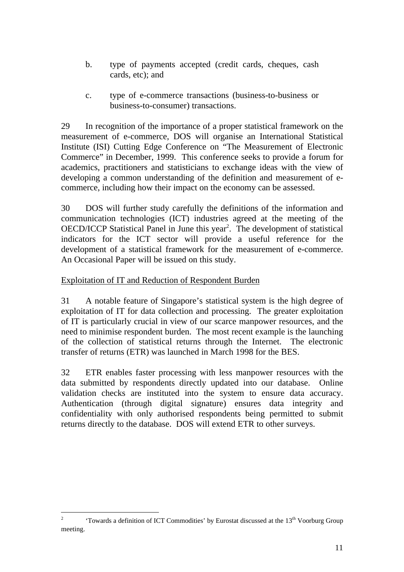- b. type of payments accepted (credit cards, cheques, cash cards, etc); and
- c. type of e-commerce transactions (business-to-business or business-to-consumer) transactions.

29 In recognition of the importance of a proper statistical framework on the measurement of e-commerce, DOS will organise an International Statistical Institute (ISI) Cutting Edge Conference on "The Measurement of Electronic Commerce" in December, 1999. This conference seeks to provide a forum for academics, practitioners and statisticians to exchange ideas with the view of developing a common understanding of the definition and measurement of ecommerce, including how their impact on the economy can be assessed.

30 DOS will further study carefully the definitions of the information and communication technologies (ICT) industries agreed at the meeting of the OECD/ICCP Statistical Panel in June this year<sup>2</sup>. The development of statistical indicators for the ICT sector will provide a useful reference for the development of a statistical framework for the measurement of e-commerce. An Occasional Paper will be issued on this study.

## Exploitation of IT and Reduction of Respondent Burden

31 A notable feature of Singapore's statistical system is the high degree of exploitation of IT for data collection and processing. The greater exploitation of IT is particularly crucial in view of our scarce manpower resources, and the need to minimise respondent burden. The most recent example is the launching of the collection of statistical returns through the Internet. The electronic transfer of returns (ETR) was launched in March 1998 for the BES.

32 ETR enables faster processing with less manpower resources with the data submitted by respondents directly updated into our database. Online validation checks are instituted into the system to ensure data accuracy. Authentication (through digital signature) ensures data integrity and confidentiality with only authorised respondents being permitted to submit returns directly to the database. DOS will extend ETR to other surveys.

 $\frac{1}{2}$ 'Towards a definition of ICT Commodities' by Eurostat discussed at the 13<sup>th</sup> Voorburg Group meeting.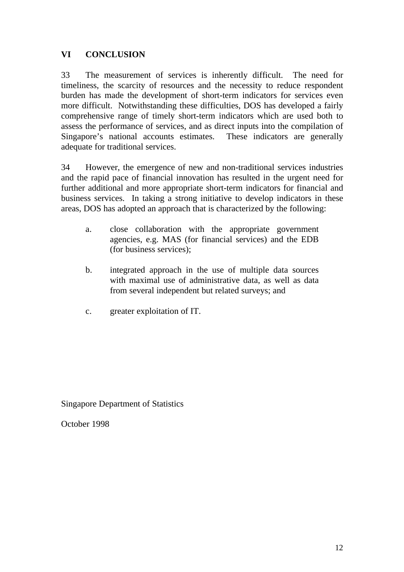# **VI CONCLUSION**

33 The measurement of services is inherently difficult. The need for timeliness, the scarcity of resources and the necessity to reduce respondent burden has made the development of short-term indicators for services even more difficult. Notwithstanding these difficulties, DOS has developed a fairly comprehensive range of timely short-term indicators which are used both to assess the performance of services, and as direct inputs into the compilation of Singapore's national accounts estimates. These indicators are generally adequate for traditional services.

34 However, the emergence of new and non-traditional services industries and the rapid pace of financial innovation has resulted in the urgent need for further additional and more appropriate short-term indicators for financial and business services. In taking a strong initiative to develop indicators in these areas, DOS has adopted an approach that is characterized by the following:

- a. close collaboration with the appropriate government agencies, e.g. MAS (for financial services) and the EDB (for business services);
- b. integrated approach in the use of multiple data sources with maximal use of administrative data, as well as data from several independent but related surveys; and
- c. greater exploitation of IT.

Singapore Department of Statistics

October 1998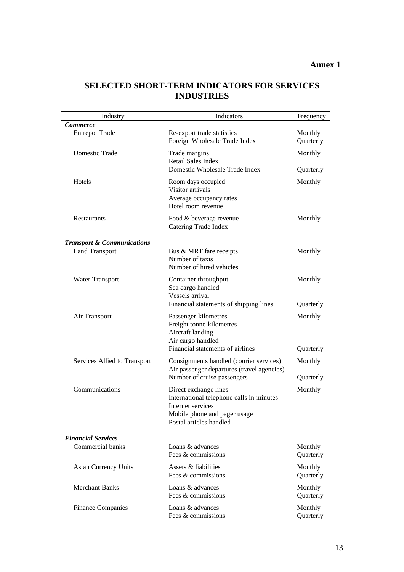| <b>SELECTED SHORT-TERM INDICATORS FOR SERVICES</b> |
|----------------------------------------------------|
| <b>INDUSTRIES</b>                                  |

| Industry                              | Indicators                                                                                                                                        | Frequency            |
|---------------------------------------|---------------------------------------------------------------------------------------------------------------------------------------------------|----------------------|
| <b>Commerce</b>                       |                                                                                                                                                   |                      |
| <b>Entrepot Trade</b>                 | Re-export trade statistics<br>Foreign Wholesale Trade Index                                                                                       | Monthly<br>Quarterly |
| Domestic Trade                        | Trade margins<br>Retail Sales Index                                                                                                               | Monthly              |
|                                       | Domestic Wholesale Trade Index                                                                                                                    | Quarterly            |
| Hotels                                | Room days occupied<br>Visitor arrivals<br>Average occupancy rates<br>Hotel room revenue                                                           | Monthly              |
| Restaurants                           | Food & beverage revenue<br>Catering Trade Index                                                                                                   | Monthly              |
| <b>Transport &amp; Communications</b> |                                                                                                                                                   |                      |
| <b>Land Transport</b>                 | Bus & MRT fare receipts<br>Number of taxis<br>Number of hired vehicles                                                                            | Monthly              |
| <b>Water Transport</b>                | Container throughput<br>Sea cargo handled<br>Vessels arrival                                                                                      | Monthly              |
|                                       | Financial statements of shipping lines                                                                                                            | Quarterly            |
| Air Transport                         | Passenger-kilometres<br>Freight tonne-kilometres<br>Aircraft landing<br>Air cargo handled<br>Financial statements of airlines                     | Monthly<br>Quarterly |
| Services Allied to Transport          | Consignments handled (courier services)<br>Air passenger departures (travel agencies)                                                             | Monthly              |
|                                       | Number of cruise passengers                                                                                                                       | Quarterly            |
| Communications                        | Direct exchange lines<br>International telephone calls in minutes<br>Internet services<br>Mobile phone and pager usage<br>Postal articles handled | Monthly              |
| <b>Financial Services</b>             |                                                                                                                                                   |                      |
| Commercial banks                      | Loans & advances<br>Fees $&$ commissions                                                                                                          | Monthly<br>Quarterly |
| <b>Asian Currency Units</b>           | Assets & liabilities<br>Fees & commissions                                                                                                        | Monthly<br>Quarterly |
| <b>Merchant Banks</b>                 | Loans & advances<br>Fees & commissions                                                                                                            | Monthly<br>Quarterly |
| <b>Finance Companies</b>              | Loans & advances<br>Fees & commissions                                                                                                            | Monthly<br>Quarterly |